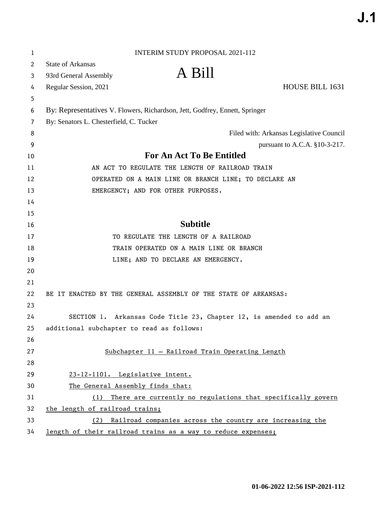| 1                     | <b>INTERIM STUDY PROPOSAL 2021-112</b>                                      |  |
|-----------------------|-----------------------------------------------------------------------------|--|
| $\mathbf{2}^{\prime}$ | <b>State of Arkansas</b>                                                    |  |
| 3                     | A Bill<br>93rd General Assembly                                             |  |
| 4                     | HOUSE BILL 1631<br>Regular Session, 2021                                    |  |
| 5                     |                                                                             |  |
| 6                     | By: Representatives V. Flowers, Richardson, Jett, Godfrey, Ennett, Springer |  |
| 7                     | By: Senators L. Chesterfield, C. Tucker                                     |  |
| 8                     | Filed with: Arkansas Legislative Council                                    |  |
| 9                     | pursuant to A.C.A. $§10-3-217$ .                                            |  |
| 10                    | <b>For An Act To Be Entitled</b>                                            |  |
| 11                    | AN ACT TO REGULATE THE LENGTH OF RAILROAD TRAIN                             |  |
| 12                    | OPERATED ON A MAIN LINE OR BRANCH LINE; TO DECLARE AN                       |  |
| 13                    | EMERGENCY; AND FOR OTHER PURPOSES.                                          |  |
| 14                    |                                                                             |  |
| 15                    |                                                                             |  |
| 16                    | <b>Subtitle</b>                                                             |  |
| 17                    | TO REGULATE THE LENGTH OF A RAILROAD                                        |  |
| 18                    | TRAIN OPERATED ON A MAIN LINE OR BRANCH                                     |  |
| 19                    | LINE; AND TO DECLARE AN EMERGENCY.                                          |  |
| 20                    |                                                                             |  |
| 21                    |                                                                             |  |
| 22                    | BE IT ENACTED BY THE GENERAL ASSEMBLY OF THE STATE OF ARKANSAS:             |  |
| 23                    |                                                                             |  |
| 24                    | SECTION 1. Arkansas Code Title 23, Chapter 12, is amended to add an         |  |
| 25                    | additional subchapter to read as follows:                                   |  |
| 26                    |                                                                             |  |
| 27                    | Subchapter 11 - Railroad Train Operating Length                             |  |
| 28                    |                                                                             |  |
| 29                    | 23-12-1101. Legislative intent.                                             |  |
| 30                    | The General Assembly finds that:                                            |  |
| 31                    | There are currently no regulations that specifically govern<br>(1)          |  |
| 32                    | the length of railroad trains;                                              |  |
| 33                    | Railroad companies across the country are increasing the<br>(2)             |  |
| 34                    | length of their railroad trains as a way to reduce expenses;                |  |

 $\ddot{\phantom{0}}$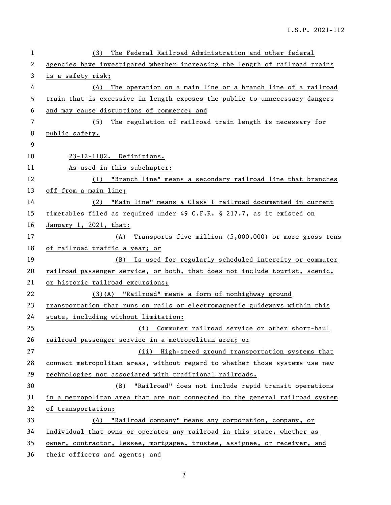| 1  | The Federal Railroad Administration and other federal<br>(3)                 |
|----|------------------------------------------------------------------------------|
| 2  | agencies have investigated whether increasing the length of railroad trains  |
| 3  | is a safety risk;                                                            |
| 4  | The operation on a main line or a branch line of a railroad<br>(4)           |
| 5  | train that is excessive in length exposes the public to unnecessary dangers  |
| 6  | and may cause disruptions of commerce; and                                   |
| 7  | The regulation of railroad train length is necessary for<br>(5)              |
| 8  | public safety.                                                               |
| 9  |                                                                              |
| 10 | 23-12-1102. Definitions.                                                     |
| 11 | As used in this subchapter:                                                  |
| 12 | (1) "Branch line" means a secondary railroad line that branches              |
| 13 | off from a main line;                                                        |
| 14 | "Main line" means a Class I railroad documented in current<br>(2)            |
| 15 | timetables filed as required under 49 C.F.R. § 217.7, as it existed on       |
| 16 | January 1, 2021, that:                                                       |
| 17 | (A) Transports five million (5,000,000) or more gross tons                   |
| 18 | of railroad traffic a year; or                                               |
| 19 | (B) Is used for regularly scheduled intercity or commuter                    |
| 20 | railroad passenger service, or both, that does not include tourist, scenic,  |
| 21 | or historic railroad excursions;                                             |
| 22 | (3)(A) "Railroad" means a form of nonhighway ground                          |
| 23 | transportation that runs on rails or electromagnetic guideways within this   |
| 24 | state, including without limitation:                                         |
| 25 | (i) Commuter railroad service or other short-haul                            |
| 26 | railroad passenger service in a metropolitan area; or                        |
| 27 | (ii) High-speed ground transportation systems that                           |
| 28 | connect metropolitan areas, without regard to whether those systems use new  |
| 29 | technologies not associated with traditional railroads.                      |
| 30 | "Railroad" does not include rapid transit operations<br>(B)                  |
| 31 | in a metropolitan area that are not connected to the general railroad system |
| 32 | of transportation;                                                           |
| 33 | "Railroad company" means any corporation, company, or<br>(4)                 |
| 34 | individual that owns or operates any railroad in this state, whether as      |
| 35 | owner, contractor, lessee, mortgagee, trustee, assignee, or receiver, and    |
| 36 | their officers and agents; and                                               |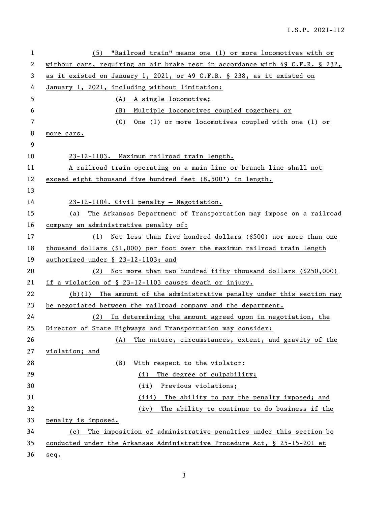| 1  | (5) "Railroad train" means one (1) or more locomotives with or                |
|----|-------------------------------------------------------------------------------|
| 2  | without cars, requiring an air brake test in accordance with 49 C.F.R. § 232, |
| 3  | as it existed on January 1, 2021, or 49 C.F.R. § 238, as it existed on        |
| 4  | January 1, 2021, including without limitation:                                |
| 5  | (A) A single locomotive;                                                      |
| 6  | Multiple locomotives coupled together; or<br>(B)                              |
| 7  | (C) One (1) or more locomotives coupled with one (1) or                       |
| 8  | more cars.                                                                    |
| 9  |                                                                               |
| 10 | 23-12-1103. Maximum railroad train length.                                    |
| 11 | A railroad train operating on a main line or branch line shall not            |
| 12 | exceed eight thousand five hundred feet (8,500') in length.                   |
| 13 |                                                                               |
| 14 | 23-12-1104. Civil penalty - Negotiation.                                      |
| 15 | The Arkansas Department of Transportation may impose on a railroad<br>(a)     |
| 16 | company an administrative penalty of:                                         |
| 17 | (1) Not less than five hundred dollars (\$500) nor more than one              |
| 18 | thousand dollars $(§1,000)$ per foot over the maximum railroad train length   |
| 19 | authorized under § 23-12-1103; and                                            |
| 20 | Not more than two hundred fifty thousand dollars (\$250,000)<br>(2)           |
| 21 | if a violation of § 23-12-1103 causes death or injury.                        |
| 22 | $(b)(1)$ The amount of the administrative penalty under this section may      |
| 23 | be negotiated between the railroad company and the department.                |
| 24 | (2)<br>In determining the amount agreed upon in negotiation, the              |
| 25 | Director of State Highways and Transportation may consider:                   |
| 26 | The nature, circumstances, extent, and gravity of the<br>(A)                  |
| 27 | violation; and                                                                |
| 28 | With respect to the violator:<br>(B)                                          |
| 29 | The degree of culpability;<br>(i)                                             |
| 30 | Previous violations;<br>(ii)                                                  |
| 31 | The ability to pay the penalty imposed; and<br>(iii)                          |
| 32 | The ability to continue to do business if the<br>(iv)                         |
| 33 | penalty is imposed.                                                           |
| 34 | The imposition of administrative penalties under this section be<br>(c)       |
| 35 | conducted under the Arkansas Administrative Procedure Act, § 25-15-201 et     |
| 36 | seq.                                                                          |